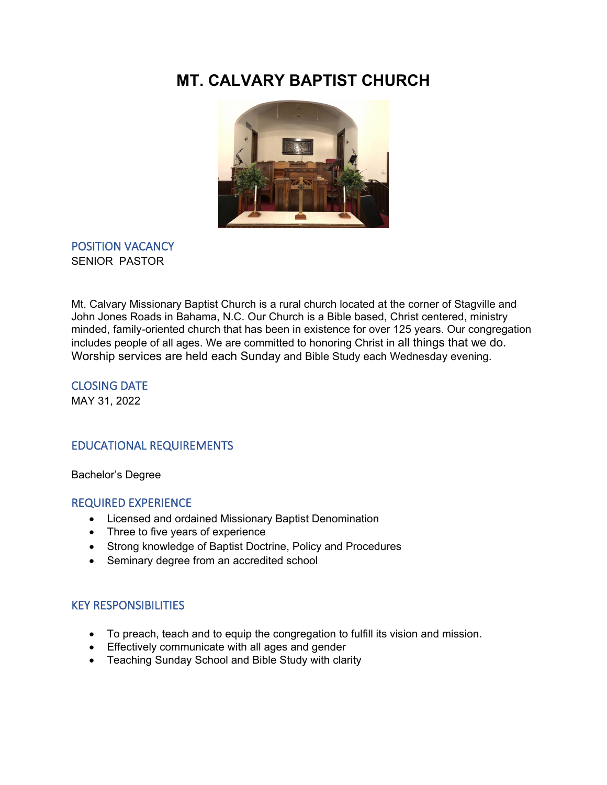# **MT. CALVARY BAPTIST CHURCH**



### POSITION VACANCY SENIOR PASTOR

Mt. Calvary Missionary Baptist Church is a rural church located at the corner of Stagville and John Jones Roads in Bahama, N.C. Our Church is a Bible based, Christ centered, ministry minded, family-oriented church that has been in existence for over 125 years. Our congregation includes people of all ages. We are committed to honoring Christ in all things that we do. Worship services are held each Sunday and Bible Study each Wednesday evening.

CLOSING DATE MAY 31, 2022

## EDUCATIONAL REQUIREMENTS

Bachelor's Degree

#### REQUIRED EXPERIENCE

- Licensed and ordained Missionary Baptist Denomination
- Three to five years of experience
- Strong knowledge of Baptist Doctrine, Policy and Procedures
- Seminary degree from an accredited school

#### KEY RESPONSIBILITIES

- To preach, teach and to equip the congregation to fulfill its vision and mission.
- Effectively communicate with all ages and gender
- Teaching Sunday School and Bible Study with clarity